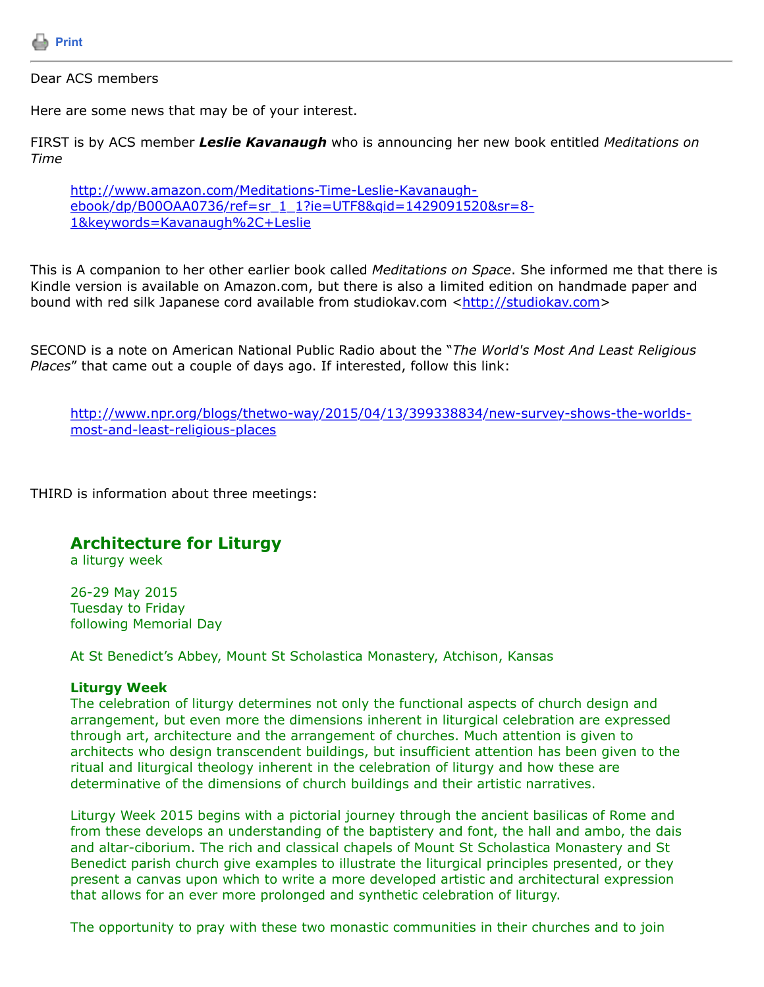

## Dear ACS members

Here are some news that may be of your interest.

FIRST is by ACS member *Leslie Kavanaugh* who is announcing her new book entitled *Meditations on Time*

http://www.amazon.com/Meditations-Time-Leslie-Kavanaugh[ebook/dp/B00OAA0736/ref=sr\\_1\\_1?ie=UTF8&qid=1429091520&sr=8-](http://www.amazon.com/Meditations-Time-Leslie-Kavanaugh-ebook/dp/B00OAA0736/ref=sr_1_1?ie=UTF8&qid=1429091520&sr=8-1&keywords=Kavanaugh,+Leslie) 1&keywords=Kavanaugh%2C+Leslie

This is A companion to her other earlier book called *Meditations on Space*. She informed me that there is Kindle version is available on Amazon.com, but there is also a limited edition on handmade paper and bound with red silk Japanese cord available from studiokav.com <[http://studiokav.com](http://studiokav.com/)>

SECOND is a note on American National Public Radio about the "*The World's Most And Least Religious Places*" that came out a couple of days ago. If interested, follow this link:

[http://www.npr.org/blogs/thetwo-way/2015/04/13/399338834/new-survey-shows-the-worlds](http://www.npr.org/blogs/thetwo-way/2015/04/13/399338834/new-survey-shows-the-worlds-most-and-least-religious-places)most-and-least-religious-places

THIRD is information about three meetings:

# **Architecture for Liturgy**

a liturgy week

26-29 May 2015 Tuesday to Friday following Memorial Day

At St Benedict's Abbey, Mount St Scholastica Monastery, Atchison, Kansas

## **Liturgy Week**

The celebration of liturgy determines not only the functional aspects of church design and arrangement, but even more the dimensions inherent in liturgical celebration are expressed through art, architecture and the arrangement of churches. Much attention is given to architects who design transcendent buildings, but insufficient attention has been given to the ritual and liturgical theology inherent in the celebration of liturgy and how these are determinative of the dimensions of church buildings and their artistic narratives.

Liturgy Week 2015 begins with a pictorial journey through the ancient basilicas of Rome and from these develops an understanding of the baptistery and font, the hall and ambo, the dais and altar-ciborium. The rich and classical chapels of Mount St Scholastica Monastery and St Benedict parish church give examples to illustrate the liturgical principles presented, or they present a canvas upon which to write a more developed artistic and architectural expression that allows for an ever more prolonged and synthetic celebration of liturgy.

The opportunity to pray with these two monastic communities in their churches and to join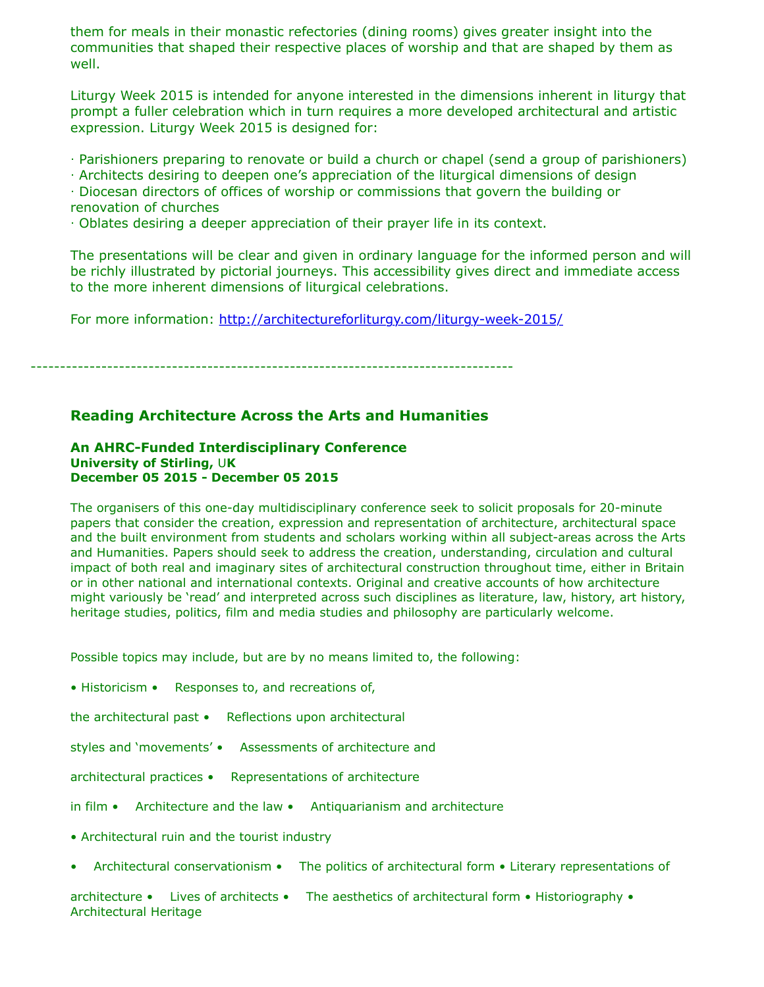them for meals in their monastic refectories (dining rooms) gives greater insight into the communities that shaped their respective places of worship and that are shaped by them as well.

Liturgy Week 2015 is intended for anyone interested in the dimensions inherent in liturgy that prompt a fuller celebration which in turn requires a more developed architectural and artistic expression. Liturgy Week 2015 is designed for:

‧ Parishioners preparing to renovate or build a church or chapel (send a group of parishioners)

‧ Architects desiring to deepen one's appreciation of the liturgical dimensions of design

‧ Diocesan directors of offices of worship or commissions that govern the building or renovation of churches

‧ Oblates desiring a deeper appreciation of their prayer life in its context.

The presentations will be clear and given in ordinary language for the informed person and will be richly illustrated by pictorial journeys. This accessibility gives direct and immediate access to the more inherent dimensions of liturgical celebrations.

For more information: <http://architectureforliturgy.com/liturgy-week-2015/>

----------------------------------------------------------------------------------

## **Reading Architecture Across the Arts and Humanities**

#### **An AHRC-Funded Interdisciplinary Conference University of Stirling,** U**K December 05 2015 - December 05 2015**

The organisers of this one-day multidisciplinary conference seek to solicit proposals for 20-minute papers that consider the creation, expression and representation of architecture, architectural space and the built environment from students and scholars working within all subject-areas across the Arts and Humanities. Papers should seek to address the creation, understanding, circulation and cultural impact of both real and imaginary sites of architectural construction throughout time, either in Britain or in other national and international contexts. Original and creative accounts of how architecture might variously be 'read' and interpreted across such disciplines as literature, law, history, art history, heritage studies, politics, film and media studies and philosophy are particularly welcome.

Possible topics may include, but are by no means limited to, the following:

• Historicism • Responses to, and recreations of,

the architectural past • Reflections upon architectural

styles and 'movements' • Assessments of architecture and

architectural practices • Representations of architecture

in film • Architecture and the law • Antiquarianism and architecture

• Architectural ruin and the tourist industry

• Architectural conservationism • The politics of architectural form • Literary representations of

architecture • Lives of architects • The aesthetics of architectural form • Historiography • Architectural Heritage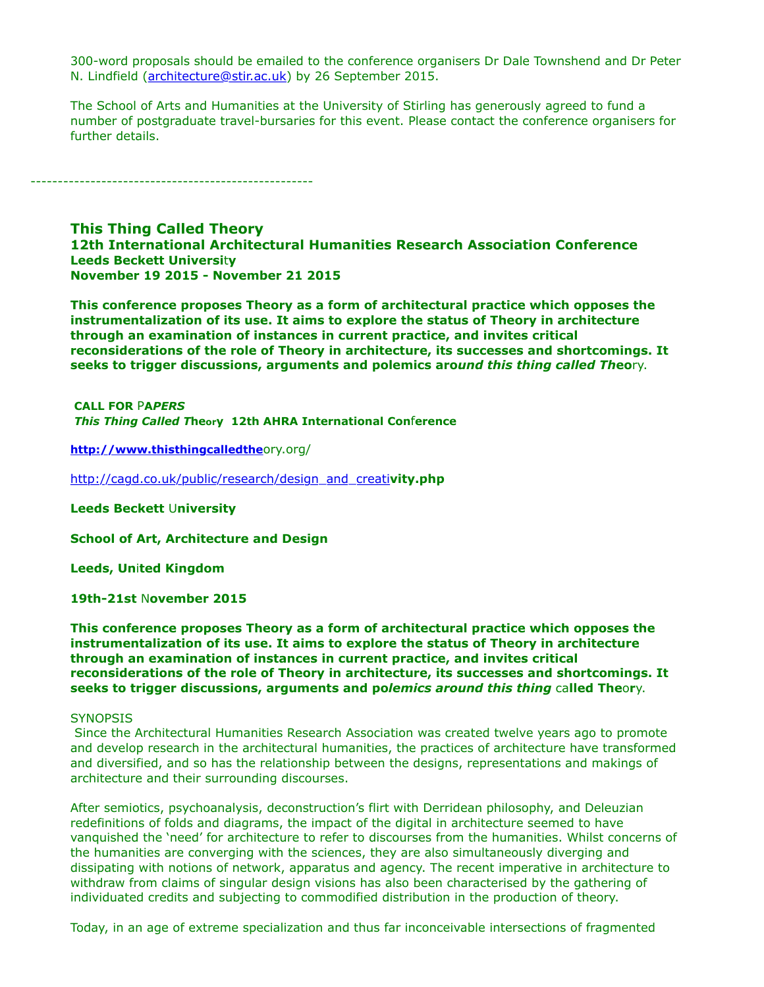300-word proposals should be emailed to the conference organisers Dr Dale Townshend and Dr Peter N. Lindfield ([architecture@stir.ac.uk\)](https://listserv.tamu.edu/cgi-bin/architecture@stir.ac.uk) by 26 September 2015.

The School of Arts and Humanities at the University of Stirling has generously agreed to fund a number of postgraduate travel-bursaries for this event. Please contact the conference organisers for further details.

----------------------------------------------------

**This Thing Called Theory 12th International Architectural Humanities Research Association Conference Leeds Beckett Universi**t**y November 19 2015 - November 21 2015**

**This conference proposes Theory as a form of architectural practice which opposes the instrumentalization of its use. It aims to explore the status of Theory in architecture through an examination of instances in current practice, and invites critical reconsiderations of the role of Theory in architecture, its successes and shortcomings. It seeks to trigger discussions, arguments and polemics aro***und this thing called Th***eo**ry.

 **CALL FOR** P**A***PERS This Thing Called T***heory 12th AHRA International Con**f**erence**

**[http://www.thisthingcalledthe](http://www.thisthingcalledthe/)**ory.org/

[http://cagd.co.uk/public/research/design\\_and\\_creati](http://cagd.co.uk/public/research/design_and_creati)**vity.php**

**Leeds Beckett** U**niversity**

**School of Art, Architecture and Design**

**Leeds, Un**i**ted Kingdom**

**19th-21st** N**ovember 2015**

**This conference proposes Theory as a form of architectural practice which opposes the instrumentalization of its use. It aims to explore the status of Theory in architecture through an examination of instances in current practice, and invites critical reconsiderations of the role of Theory in architecture, its successes and shortcomings. It seeks to trigger discussions, arguments and po***lemics around this thing* ca**lled The**o**r**y.

#### **SYNOPSIS**

 Since the Architectural Humanities Research Association was created twelve years ago to promote and develop research in the architectural humanities, the practices of architecture have transformed and diversified, and so has the relationship between the designs, representations and makings of architecture and their surrounding discourses.

After semiotics, psychoanalysis, deconstruction's flirt with Derridean philosophy, and Deleuzian redefinitions of folds and diagrams, the impact of the digital in architecture seemed to have vanquished the 'need' for architecture to refer to discourses from the humanities. Whilst concerns of the humanities are converging with the sciences, they are also simultaneously diverging and dissipating with notions of network, apparatus and agency. The recent imperative in architecture to withdraw from claims of singular design visions has also been characterised by the gathering of individuated credits and subjecting to commodified distribution in the production of theory.

Today, in an age of extreme specialization and thus far inconceivable intersections of fragmented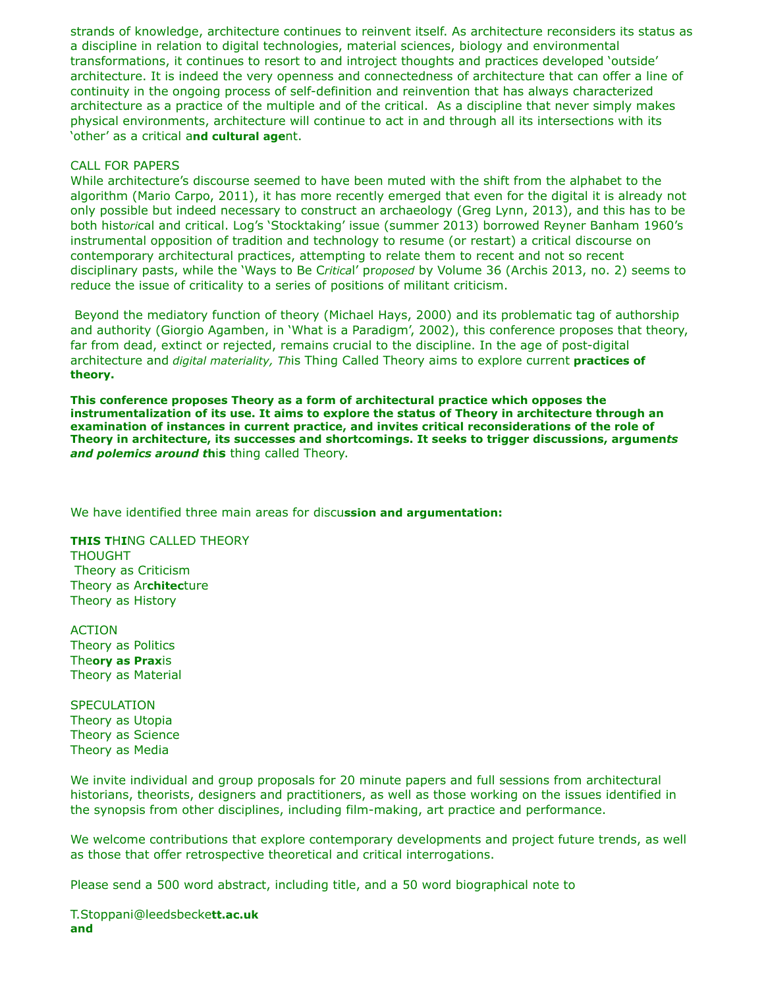strands of knowledge, architecture continues to reinvent itself. As architecture reconsiders its status as a discipline in relation to digital technologies, material sciences, biology and environmental transformations, it continues to resort to and introject thoughts and practices developed 'outside' architecture. It is indeed the very openness and connectedness of architecture that can offer a line of continuity in the ongoing process of self-definition and reinvention that has always characterized architecture as a practice of the multiple and of the critical. As a discipline that never simply makes physical environments, architecture will continue to act in and through all its intersections with its 'other' as a critical a**nd cultural age**nt.

### CALL FOR PAPERS

While architecture's discourse seemed to have been muted with the shift from the alphabet to the algorithm (Mario Carpo, 2011), it has more recently emerged that even for the digital it is already not only possible but indeed necessary to construct an archaeology (Greg Lynn, 2013), and this has to be both hist*ori*cal and critical. Log's 'Stocktaking' issue (summer 2013) borrowed Reyner Banham 1960's instrumental opposition of tradition and technology to resume (or restart) a critical discourse on contemporary architectural practices, attempting to relate them to recent and not so recent disciplinary pasts, while the 'Ways to Be C*ritica*l' pr*oposed* by Volume 36 (Archis 2013, no. 2) seems to reduce the issue of criticality to a series of positions of militant criticism.

 Beyond the mediatory function of theory (Michael Hays, 2000) and its problematic tag of authorship and authority (Giorgio Agamben, in 'What is a Paradigm', 2002), this conference proposes that theory, far from dead, extinct or rejected, remains crucial to the discipline. In the age of post-digital architecture and *digital materiality, Th*is Thing Called Theory aims to explore current **practices of theory.**

**This conference proposes Theory as a form of architectural practice which opposes the instrumentalization of its use. It aims to explore the status of Theory in architecture through an examination of instances in current practice, and invites critical reconsiderations of the role of Theory in architecture, its successes and shortcomings. It seeks to trigger discussions, argumen***ts and polemics around t***h**i**s** thing called Theory.

We have identified three main areas for discu**ssion and argumentation:**

**THIS T**H**I**NG CALLED THEORY THOUGHT Theory as Criticism Theory as Ar**chitec**ture Theory as History

ACTION Theory as Politics The**ory as Prax**is Theory as Material

**SPECULATION** Theory as Utopia Theory as Science Theory as Media

We invite individual and group proposals for 20 minute papers and full sessions from architectural historians, theorists, designers and practitioners, as well as those working on the issues identified in the synopsis from other disciplines, including film-making, art practice and performance.

We welcome contributions that explore contemporary developments and project future trends, as well as those that offer retrospective theoretical and critical interrogations.

Please send a 500 word abstract, including title, and a 50 word biographical note to

T.Stoppani@leedsbecke**tt.ac.uk and**